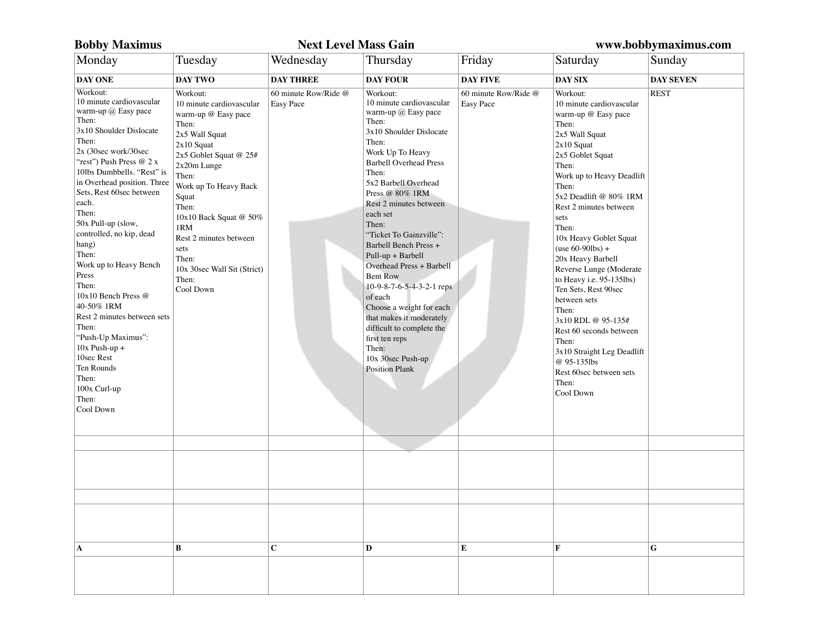| <b>Bobby Maximus</b>                                                                                                                                                                                                                                                                                                                                                                                                                                                                                                                                                                         |                                                                                                                                                                                                                                                                                                                                      | <b>Next Level Mass Gain</b>       |                                                                                                                                                                                                                                                                                                                                                                                                                                                                                                                                                                                                    |                                   | www.bobbymaximus.com                                                                                                                                                                                                                                                                                                                                                                                                                                                                                                                                                                |                  |  |
|----------------------------------------------------------------------------------------------------------------------------------------------------------------------------------------------------------------------------------------------------------------------------------------------------------------------------------------------------------------------------------------------------------------------------------------------------------------------------------------------------------------------------------------------------------------------------------------------|--------------------------------------------------------------------------------------------------------------------------------------------------------------------------------------------------------------------------------------------------------------------------------------------------------------------------------------|-----------------------------------|----------------------------------------------------------------------------------------------------------------------------------------------------------------------------------------------------------------------------------------------------------------------------------------------------------------------------------------------------------------------------------------------------------------------------------------------------------------------------------------------------------------------------------------------------------------------------------------------------|-----------------------------------|-------------------------------------------------------------------------------------------------------------------------------------------------------------------------------------------------------------------------------------------------------------------------------------------------------------------------------------------------------------------------------------------------------------------------------------------------------------------------------------------------------------------------------------------------------------------------------------|------------------|--|
| Monday                                                                                                                                                                                                                                                                                                                                                                                                                                                                                                                                                                                       | Tuesday                                                                                                                                                                                                                                                                                                                              | Wednesday                         | Thursday                                                                                                                                                                                                                                                                                                                                                                                                                                                                                                                                                                                           | Friday                            | Saturday                                                                                                                                                                                                                                                                                                                                                                                                                                                                                                                                                                            | Sunday           |  |
| <b>DAY ONE</b>                                                                                                                                                                                                                                                                                                                                                                                                                                                                                                                                                                               | DAY TWO                                                                                                                                                                                                                                                                                                                              | <b>DAY THREE</b>                  | <b>DAY FOUR</b>                                                                                                                                                                                                                                                                                                                                                                                                                                                                                                                                                                                    | <b>DAY FIVE</b>                   | <b>DAY SIX</b>                                                                                                                                                                                                                                                                                                                                                                                                                                                                                                                                                                      | <b>DAY SEVEN</b> |  |
| Workout:<br>10 minute cardiovascular<br>warm-up $(a)$ Easy pace<br>Then:<br>3x10 Shoulder Dislocate<br>Then:<br>2x (30sec work/30sec<br>"rest") Push Press @ 2 x<br>10lbs Dumbbells. "Rest" is<br>in Overhead position. Three<br>Sets, Rest 60sec between<br>each.<br>Then:<br>50x Pull-up (slow,<br>controlled, no kip, dead<br>hang)<br>Then:<br>Work up to Heavy Bench<br>Press<br>Then:<br>10x10 Bench Press @<br>40-50% 1RM<br>Rest 2 minutes between sets<br>Then:<br>"Push-Up Maximus":<br>$10x$ Push-up +<br>10sec Rest<br>Ten Rounds<br>Then:<br>100x Curl-up<br>Then:<br>Cool Down | Workout:<br>10 minute cardiovascular<br>warm-up @ Easy pace<br>Then:<br>2x5 Wall Squat<br>$2x10$ Squat<br>2x5 Goblet Squat @ 25#<br>2x20m Lunge<br>Then:<br>Work up To Heavy Back<br>Squat<br>Then:<br>10x10 Back Squat @ 50%<br>1RM<br>Rest 2 minutes between<br>sets<br>Then:<br>10x 30sec Wall Sit (Strict)<br>Then:<br>Cool Down | 60 minute Row/Ride @<br>Easy Pace | Workout:<br>10 minute cardiovascular<br>warm-up $(a)$ Easy pace<br>Then:<br>3x10 Shoulder Dislocate<br>Then:<br>Work Up To Heavy<br><b>Barbell Overhead Press</b><br>Then:<br>5x2 Barbell Overhead<br>Press @ 80% 1RM<br>Rest 2 minutes between<br>each set<br>Then:<br>"Ticket To Gainzville":<br>Barbell Bench Press +<br>Pull-up + Barbell<br>Overhead Press + Barbell<br><b>Bent Row</b><br>10-9-8-7-6-5-4-3-2-1 reps<br>of each<br>Choose a weight for each<br>that makes it moderately<br>difficult to complete the<br>first ten reps<br>Then:<br>10x 30sec Push-up<br><b>Position Plank</b> | 60 minute Row/Ride @<br>Easy Pace | Workout:<br>10 minute cardiovascular<br>warm-up @ Easy pace<br>Then:<br>2x5 Wall Squat<br>$2x10$ Squat<br>2x5 Goblet Squat<br>Then:<br>Work up to Heavy Deadlift<br>Then:<br>5x2 Deadlift @ 80% 1RM<br>Rest 2 minutes between<br>sets<br>Then:<br>10x Heavy Goblet Squat<br>$(use 60-901bs) +$<br>20x Heavy Barbell<br>Reverse Lunge (Moderate<br>to Heavy i.e. 95-135lbs)<br>Ten Sets, Rest 90sec<br>between sets<br>Then:<br>3x10 RDL @ 95-135#<br>Rest 60 seconds between<br>Then:<br>3x10 Straight Leg Deadlift<br>@ 95-135lbs<br>Rest 60sec between sets<br>Then:<br>Cool Down | <b>REST</b>      |  |
|                                                                                                                                                                                                                                                                                                                                                                                                                                                                                                                                                                                              |                                                                                                                                                                                                                                                                                                                                      |                                   |                                                                                                                                                                                                                                                                                                                                                                                                                                                                                                                                                                                                    |                                   |                                                                                                                                                                                                                                                                                                                                                                                                                                                                                                                                                                                     |                  |  |
|                                                                                                                                                                                                                                                                                                                                                                                                                                                                                                                                                                                              |                                                                                                                                                                                                                                                                                                                                      |                                   |                                                                                                                                                                                                                                                                                                                                                                                                                                                                                                                                                                                                    |                                   |                                                                                                                                                                                                                                                                                                                                                                                                                                                                                                                                                                                     |                  |  |
|                                                                                                                                                                                                                                                                                                                                                                                                                                                                                                                                                                                              |                                                                                                                                                                                                                                                                                                                                      |                                   |                                                                                                                                                                                                                                                                                                                                                                                                                                                                                                                                                                                                    |                                   |                                                                                                                                                                                                                                                                                                                                                                                                                                                                                                                                                                                     |                  |  |
|                                                                                                                                                                                                                                                                                                                                                                                                                                                                                                                                                                                              |                                                                                                                                                                                                                                                                                                                                      |                                   |                                                                                                                                                                                                                                                                                                                                                                                                                                                                                                                                                                                                    |                                   |                                                                                                                                                                                                                                                                                                                                                                                                                                                                                                                                                                                     |                  |  |
| A                                                                                                                                                                                                                                                                                                                                                                                                                                                                                                                                                                                            | B                                                                                                                                                                                                                                                                                                                                    | $\mathbf{C}$                      | D                                                                                                                                                                                                                                                                                                                                                                                                                                                                                                                                                                                                  | E                                 | F                                                                                                                                                                                                                                                                                                                                                                                                                                                                                                                                                                                   | G                |  |
|                                                                                                                                                                                                                                                                                                                                                                                                                                                                                                                                                                                              |                                                                                                                                                                                                                                                                                                                                      |                                   |                                                                                                                                                                                                                                                                                                                                                                                                                                                                                                                                                                                                    |                                   |                                                                                                                                                                                                                                                                                                                                                                                                                                                                                                                                                                                     |                  |  |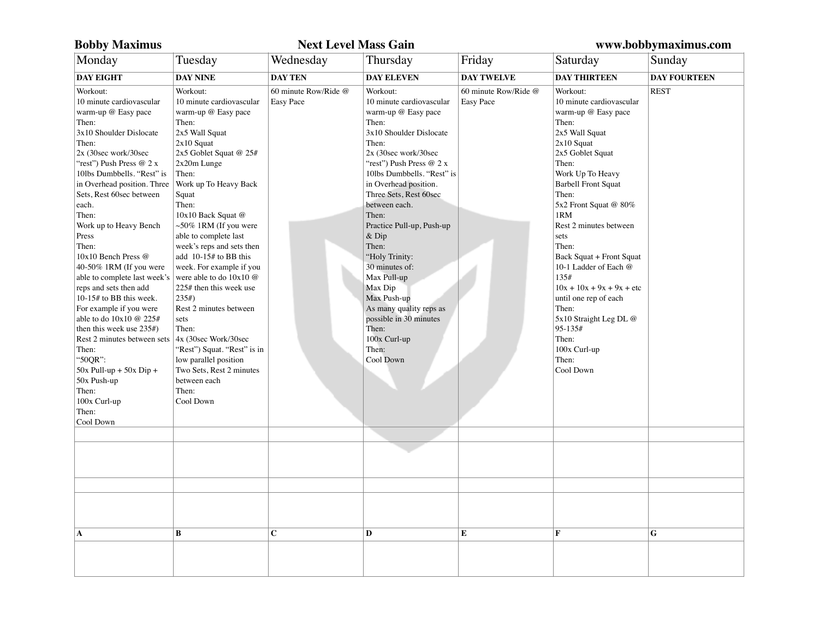| <b>Bobby Maximus</b>                                                                                                                                                                                                                                                                                                                                                                                                                                                                                                                                                                                                                                                                            |                                                                                                                                                                                                                                                                                                                                                                                                                                                                                                                                                                                                                               | <b>Next Level Mass Gain</b>       | www.bobbymaximus.com                                                                                                                                                                                                                                                                                                                                                                                                                                                                                      |                                          |                                                                                                                                                                                                                                                                                                                                                                                                                                                                                             |                     |
|-------------------------------------------------------------------------------------------------------------------------------------------------------------------------------------------------------------------------------------------------------------------------------------------------------------------------------------------------------------------------------------------------------------------------------------------------------------------------------------------------------------------------------------------------------------------------------------------------------------------------------------------------------------------------------------------------|-------------------------------------------------------------------------------------------------------------------------------------------------------------------------------------------------------------------------------------------------------------------------------------------------------------------------------------------------------------------------------------------------------------------------------------------------------------------------------------------------------------------------------------------------------------------------------------------------------------------------------|-----------------------------------|-----------------------------------------------------------------------------------------------------------------------------------------------------------------------------------------------------------------------------------------------------------------------------------------------------------------------------------------------------------------------------------------------------------------------------------------------------------------------------------------------------------|------------------------------------------|---------------------------------------------------------------------------------------------------------------------------------------------------------------------------------------------------------------------------------------------------------------------------------------------------------------------------------------------------------------------------------------------------------------------------------------------------------------------------------------------|---------------------|
| Monday                                                                                                                                                                                                                                                                                                                                                                                                                                                                                                                                                                                                                                                                                          | Tuesday                                                                                                                                                                                                                                                                                                                                                                                                                                                                                                                                                                                                                       | Wednesday                         | Thursday                                                                                                                                                                                                                                                                                                                                                                                                                                                                                                  | Friday                                   | Saturday                                                                                                                                                                                                                                                                                                                                                                                                                                                                                    | Sunday              |
| <b>DAY EIGHT</b>                                                                                                                                                                                                                                                                                                                                                                                                                                                                                                                                                                                                                                                                                | <b>DAY NINE</b>                                                                                                                                                                                                                                                                                                                                                                                                                                                                                                                                                                                                               | <b>DAY TEN</b>                    | <b>DAY ELEVEN</b>                                                                                                                                                                                                                                                                                                                                                                                                                                                                                         | <b>DAY TWELVE</b>                        | <b>DAY THIRTEEN</b>                                                                                                                                                                                                                                                                                                                                                                                                                                                                         | <b>DAY FOURTEEN</b> |
| Workout:<br>10 minute cardiovascular<br>warm-up @ Easy pace<br>Then:<br>3x10 Shoulder Dislocate<br>Then:<br>2x (30sec work/30sec<br>"rest") Push Press @ 2 x<br>10lbs Dumbbells. "Rest" is<br>in Overhead position. Three<br>Sets, Rest 60sec between<br>each.<br>Then:<br>Work up to Heavy Bench<br>Press<br>Then:<br>10x10 Bench Press @<br>40-50% 1RM (If you were<br>able to complete last week's<br>reps and sets then add<br>10-15# to BB this week.<br>For example if you were<br>able to do 10x10 @ 225#<br>then this week use $235#$ )<br>Rest 2 minutes between sets<br>Then:<br>"50QR":<br>$50x$ Pull-up + $50x$ Dip +<br>50x Push-up<br>Then:<br>100x Curl-up<br>Then:<br>Cool Down | Workout:<br>10 minute cardiovascular<br>warm-up @ Easy pace<br>Then:<br>2x5 Wall Squat<br>$2x10$ Squat<br>2x5 Goblet Squat @ 25#<br>2x20m Lunge<br>Then:<br>Work up To Heavy Back<br>Squat<br>Then:<br>10x10 Back Squat @<br>$~50\%$ 1RM (If you were<br>able to complete last<br>week's reps and sets then<br>add 10-15# to BB this<br>week. For example if you<br>were able to do $10x10$ @<br>225# then this week use<br>235#<br>Rest 2 minutes between<br>sets<br>Then:<br>4x (30sec Work/30sec<br>"Rest") Squat. "Rest" is in<br>low parallel position<br>Two Sets, Rest 2 minutes<br>between each<br>Then:<br>Cool Down | 60 minute Row/Ride @<br>Easy Pace | Workout:<br>10 minute cardiovascular<br>warm-up @ Easy pace<br>Then:<br>3x10 Shoulder Dislocate<br>Then:<br>2x (30sec work/30sec<br>"rest") Push Press @ 2 x<br>10lbs Dumbbells. "Rest" is<br>in Overhead position.<br>Three Sets, Rest 60sec<br>between each.<br>Then:<br>Practice Pull-up, Push-up<br>$&$ Dip<br>Then:<br>"Holy Trinity:<br>30 minutes of:<br>Max Pull-up<br>Max Dip<br>Max Push-up<br>As many quality reps as<br>possible in 30 minutes<br>Then:<br>100x Curl-up<br>Then:<br>Cool Down | 60 minute Row/Ride @<br><b>Easy Pace</b> | Workout:<br>10 minute cardiovascular<br>warm-up @ Easy pace<br>Then:<br>2x5 Wall Squat<br>$2x10$ Squat<br>2x5 Goblet Squat<br>Then:<br>Work Up To Heavy<br><b>Barbell Front Squat</b><br>Then:<br>5x2 Front Squat @ 80%<br>1RM<br>Rest 2 minutes between<br>sets<br>Then:<br>Back Squat + Front Squat<br>10-1 Ladder of Each @<br>135#<br>$10x + 10x + 9x + 9x + etc$<br>until one rep of each<br>Then:<br>5x10 Straight Leg DL @<br>95-135#<br>Then:<br>100x Curl-up<br>Then:<br>Cool Down | <b>REST</b>         |
| $\mathbf A$                                                                                                                                                                                                                                                                                                                                                                                                                                                                                                                                                                                                                                                                                     | B                                                                                                                                                                                                                                                                                                                                                                                                                                                                                                                                                                                                                             | C                                 | D                                                                                                                                                                                                                                                                                                                                                                                                                                                                                                         | E                                        | F                                                                                                                                                                                                                                                                                                                                                                                                                                                                                           | G                   |
|                                                                                                                                                                                                                                                                                                                                                                                                                                                                                                                                                                                                                                                                                                 |                                                                                                                                                                                                                                                                                                                                                                                                                                                                                                                                                                                                                               |                                   |                                                                                                                                                                                                                                                                                                                                                                                                                                                                                                           |                                          |                                                                                                                                                                                                                                                                                                                                                                                                                                                                                             |                     |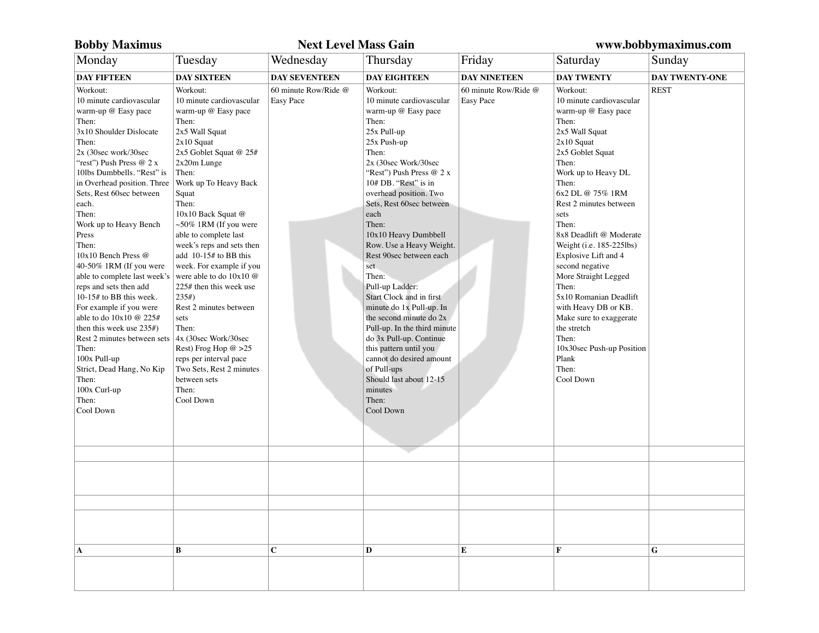| <b>Bobby Maximus</b>                                                                                                                                                                                                                                                                                                                                                                                                                                                                                                                                                                                                                                                                |                                                                                                                                                                                                                                                                                                                                                                                                                                                                                                                                                                                                                       | <b>Next Level Mass Gain</b>       | www.bobbymaximus.com                                                                                                                                                                                                                                                                                                                                                                                                                                                                                                                                                                                                                                            |                                   |                                                                                                                                                                                                                                                                                                                                                                                                                                                                                                                                        |                |
|-------------------------------------------------------------------------------------------------------------------------------------------------------------------------------------------------------------------------------------------------------------------------------------------------------------------------------------------------------------------------------------------------------------------------------------------------------------------------------------------------------------------------------------------------------------------------------------------------------------------------------------------------------------------------------------|-----------------------------------------------------------------------------------------------------------------------------------------------------------------------------------------------------------------------------------------------------------------------------------------------------------------------------------------------------------------------------------------------------------------------------------------------------------------------------------------------------------------------------------------------------------------------------------------------------------------------|-----------------------------------|-----------------------------------------------------------------------------------------------------------------------------------------------------------------------------------------------------------------------------------------------------------------------------------------------------------------------------------------------------------------------------------------------------------------------------------------------------------------------------------------------------------------------------------------------------------------------------------------------------------------------------------------------------------------|-----------------------------------|----------------------------------------------------------------------------------------------------------------------------------------------------------------------------------------------------------------------------------------------------------------------------------------------------------------------------------------------------------------------------------------------------------------------------------------------------------------------------------------------------------------------------------------|----------------|
| Monday                                                                                                                                                                                                                                                                                                                                                                                                                                                                                                                                                                                                                                                                              | Tuesday                                                                                                                                                                                                                                                                                                                                                                                                                                                                                                                                                                                                               | Wednesday                         | Thursday                                                                                                                                                                                                                                                                                                                                                                                                                                                                                                                                                                                                                                                        | Friday                            | Saturday                                                                                                                                                                                                                                                                                                                                                                                                                                                                                                                               | Sunday         |
| <b>DAY FIFTEEN</b>                                                                                                                                                                                                                                                                                                                                                                                                                                                                                                                                                                                                                                                                  | <b>DAY SIXTEEN</b>                                                                                                                                                                                                                                                                                                                                                                                                                                                                                                                                                                                                    | <b>DAY SEVENTEEN</b>              | <b>DAY EIGHTEEN</b>                                                                                                                                                                                                                                                                                                                                                                                                                                                                                                                                                                                                                                             | <b>DAY NINETEEN</b>               | <b>DAY TWENTY</b>                                                                                                                                                                                                                                                                                                                                                                                                                                                                                                                      | DAY TWENTY-ONE |
| Workout:<br>10 minute cardiovascular<br>warm-up @ Easy pace<br>Then:<br>3x10 Shoulder Dislocate<br>Then:<br>2x (30sec work/30sec<br>"rest") Push Press @ 2 x<br>10lbs Dumbbells. "Rest" is<br>in Overhead position. Three<br>Sets, Rest 60sec between<br>each.<br>Then:<br>Work up to Heavy Bench<br>Press<br>Then:<br>10x10 Bench Press @<br>40-50% 1RM (If you were<br>able to complete last week's<br>reps and sets then add<br>10-15# to BB this week.<br>For example if you were<br>able to do 10x10 @ 225#<br>then this week use $235#$ )<br>Rest 2 minutes between sets<br>Then:<br>100x Pull-up<br>Strict, Dead Hang, No Kip<br>Then:<br>100x Curl-up<br>Then:<br>Cool Down | Workout:<br>10 minute cardiovascular<br>warm-up @ Easy pace<br>Then:<br>2x5 Wall Squat<br>$2x10$ Squat<br>2x5 Goblet Squat @ 25#<br>2x20m Lunge<br>Then:<br>Work up To Heavy Back<br>Squat<br>Then:<br>10x10 Back Squat @<br>$~50\%$ 1RM (If you were<br>able to complete last<br>week's reps and sets then<br>add 10-15# to BB this<br>week. For example if you<br>were able to do 10x10 @<br>225# then this week use<br>235#<br>Rest 2 minutes between<br>sets<br>Then:<br>4x (30sec Work/30sec<br>Rest) Frog Hop @ >25<br>reps per interval pace<br>Two Sets, Rest 2 minutes<br>between sets<br>Then:<br>Cool Down | 60 minute Row/Ride @<br>Easy Pace | Workout:<br>10 minute cardiovascular<br>warm-up @ Easy pace<br>Then:<br>25x Pull-up<br>25x Push-up<br>Then:<br>2x (30sec Work/30sec<br>"Rest") Push Press @ 2 x<br>10# DB. "Rest" is in<br>overhead position. Two<br>Sets, Rest 60sec between<br>each<br>Then:<br>10x10 Heavy Dumbbell<br>Row. Use a Heavy Weight.<br>Rest 90sec between each<br>set<br>Then:<br>Pull-up Ladder:<br>Start Clock and in first<br>minute do 1x Pull-up. In<br>the second minute do 2x<br>Pull-up. In the third minute<br>do 3x Pull-up. Continue<br>this pattern until you<br>cannot do desired amount<br>of Pull-ups<br>Should last about 12-15<br>minutes<br>Then:<br>Cool Down | 60 minute Row/Ride @<br>Easy Pace | Workout:<br>10 minute cardiovascular<br>warm-up @ Easy pace<br>Then:<br>2x5 Wall Squat<br>$2x10$ Squat<br>2x5 Goblet Squat<br>Then:<br>Work up to Heavy DL<br>Then:<br>6x2 DL @ 75% 1RM<br>Rest 2 minutes between<br>sets<br>Then:<br>8x8 Deadlift @ Moderate<br>Weight (i.e. 185-225lbs)<br>Explosive Lift and 4<br>second negative<br>More Straight Legged<br>Then:<br>5x10 Romanian Deadlift<br>with Heavy DB or KB.<br>Make sure to exaggerate<br>the stretch<br>Then:<br>10x30sec Push-up Position<br>Plank<br>Then:<br>Cool Down | <b>REST</b>    |
|                                                                                                                                                                                                                                                                                                                                                                                                                                                                                                                                                                                                                                                                                     |                                                                                                                                                                                                                                                                                                                                                                                                                                                                                                                                                                                                                       |                                   |                                                                                                                                                                                                                                                                                                                                                                                                                                                                                                                                                                                                                                                                 |                                   |                                                                                                                                                                                                                                                                                                                                                                                                                                                                                                                                        |                |
|                                                                                                                                                                                                                                                                                                                                                                                                                                                                                                                                                                                                                                                                                     |                                                                                                                                                                                                                                                                                                                                                                                                                                                                                                                                                                                                                       |                                   |                                                                                                                                                                                                                                                                                                                                                                                                                                                                                                                                                                                                                                                                 |                                   |                                                                                                                                                                                                                                                                                                                                                                                                                                                                                                                                        |                |
|                                                                                                                                                                                                                                                                                                                                                                                                                                                                                                                                                                                                                                                                                     |                                                                                                                                                                                                                                                                                                                                                                                                                                                                                                                                                                                                                       |                                   |                                                                                                                                                                                                                                                                                                                                                                                                                                                                                                                                                                                                                                                                 |                                   |                                                                                                                                                                                                                                                                                                                                                                                                                                                                                                                                        |                |
|                                                                                                                                                                                                                                                                                                                                                                                                                                                                                                                                                                                                                                                                                     |                                                                                                                                                                                                                                                                                                                                                                                                                                                                                                                                                                                                                       |                                   |                                                                                                                                                                                                                                                                                                                                                                                                                                                                                                                                                                                                                                                                 |                                   |                                                                                                                                                                                                                                                                                                                                                                                                                                                                                                                                        |                |
| A                                                                                                                                                                                                                                                                                                                                                                                                                                                                                                                                                                                                                                                                                   | B                                                                                                                                                                                                                                                                                                                                                                                                                                                                                                                                                                                                                     | $\mathbf C$                       | D                                                                                                                                                                                                                                                                                                                                                                                                                                                                                                                                                                                                                                                               | E                                 | F                                                                                                                                                                                                                                                                                                                                                                                                                                                                                                                                      | G              |
|                                                                                                                                                                                                                                                                                                                                                                                                                                                                                                                                                                                                                                                                                     |                                                                                                                                                                                                                                                                                                                                                                                                                                                                                                                                                                                                                       |                                   |                                                                                                                                                                                                                                                                                                                                                                                                                                                                                                                                                                                                                                                                 |                                   |                                                                                                                                                                                                                                                                                                                                                                                                                                                                                                                                        |                |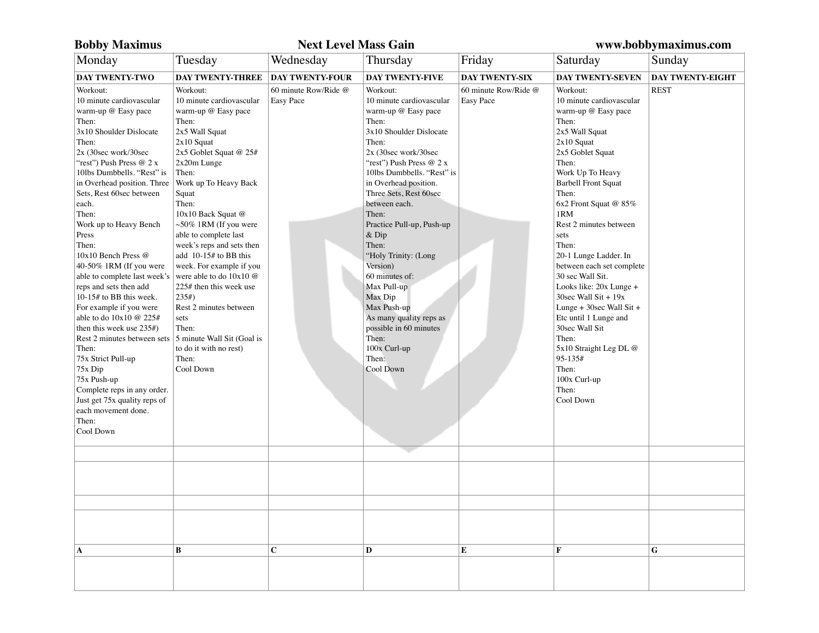| <b>Bobby Maximus</b>                                                                                                                                                                                                                                                                                                                                                                                                                                                                                                                                                                                                                                                                                                                                |                                                                                                                                                                                                                                                                                                                                                                                                                                                                                                                                                            | <b>Next Level Mass Gain</b>              |                                                                                                                                                                                                                                                                                                                                                                                                                                                                                                                             |                                   | www.bobbymaximus.com                                                                                                                                                                                                                                                                                                                                                                                                                                                                                                                                                           |                         |
|-----------------------------------------------------------------------------------------------------------------------------------------------------------------------------------------------------------------------------------------------------------------------------------------------------------------------------------------------------------------------------------------------------------------------------------------------------------------------------------------------------------------------------------------------------------------------------------------------------------------------------------------------------------------------------------------------------------------------------------------------------|------------------------------------------------------------------------------------------------------------------------------------------------------------------------------------------------------------------------------------------------------------------------------------------------------------------------------------------------------------------------------------------------------------------------------------------------------------------------------------------------------------------------------------------------------------|------------------------------------------|-----------------------------------------------------------------------------------------------------------------------------------------------------------------------------------------------------------------------------------------------------------------------------------------------------------------------------------------------------------------------------------------------------------------------------------------------------------------------------------------------------------------------------|-----------------------------------|--------------------------------------------------------------------------------------------------------------------------------------------------------------------------------------------------------------------------------------------------------------------------------------------------------------------------------------------------------------------------------------------------------------------------------------------------------------------------------------------------------------------------------------------------------------------------------|-------------------------|
| Monday                                                                                                                                                                                                                                                                                                                                                                                                                                                                                                                                                                                                                                                                                                                                              | Tuesday                                                                                                                                                                                                                                                                                                                                                                                                                                                                                                                                                    | Wednesday                                | Thursday                                                                                                                                                                                                                                                                                                                                                                                                                                                                                                                    | Friday                            | Saturday                                                                                                                                                                                                                                                                                                                                                                                                                                                                                                                                                                       | Sunday                  |
| <b>DAY TWENTY-TWO</b>                                                                                                                                                                                                                                                                                                                                                                                                                                                                                                                                                                                                                                                                                                                               | <b>DAY TWENTY-THREE</b>                                                                                                                                                                                                                                                                                                                                                                                                                                                                                                                                    | <b>DAY TWENTY-FOUR</b>                   | <b>DAY TWENTY-FIVE</b>                                                                                                                                                                                                                                                                                                                                                                                                                                                                                                      | <b>DAY TWENTY-SIX</b>             | <b>DAY TWENTY-SEVEN</b>                                                                                                                                                                                                                                                                                                                                                                                                                                                                                                                                                        | <b>DAY TWENTY-EIGHT</b> |
| Workout:<br>10 minute cardiovascular<br>warm-up @ Easy pace<br>Then:<br>3x10 Shoulder Dislocate<br>Then:<br>2x (30sec work/30sec<br>"rest") Push Press @ 2 x<br>10lbs Dumbbells. "Rest" is<br>in Overhead position. Three<br>Sets, Rest 60sec between<br>each.<br>Then:<br>Work up to Heavy Bench<br>Press<br>Then:<br>10x10 Bench Press @<br>40-50% 1RM (If you were<br>able to complete last week's<br>reps and sets then add<br>10-15# to BB this week.<br>For example if you were<br>able to do 10x10 @ 225#<br>then this week use $235#$ )<br>Rest 2 minutes between sets<br>Then:<br>75x Strict Pull-up<br>75x Dip<br>75x Push-up<br>Complete reps in any order.<br>Just get 75x quality reps of<br>each movement done.<br>Then:<br>Cool Down | Workout:<br>10 minute cardiovascular<br>warm-up @ Easy pace<br>Then:<br>2x5 Wall Squat<br>$2x10$ Squat<br>2x5 Goblet Squat @ 25#<br>2x20m Lunge<br>Then:<br>Work up To Heavy Back<br>Squat<br>Then:<br>10x10 Back Squat @<br>$\sim$ 50% 1RM (If you were<br>able to complete last<br>week's reps and sets then<br>add 10-15# to BB this<br>week. For example if you<br>were able to do 10x10 @<br>225# then this week use<br>235#<br>Rest 2 minutes between<br>sets<br>Then:<br>5 minute Wall Sit (Goal is<br>to do it with no rest)<br>Then:<br>Cool Down | 60 minute Row/Ride @<br><b>Easy Pace</b> | Workout:<br>10 minute cardiovascular<br>warm-up @ Easy pace<br>Then:<br>3x10 Shoulder Dislocate<br>Then:<br>2x (30sec work/30sec<br>"rest") Push Press @ 2 x<br>10lbs Dumbbells. "Rest" is<br>in Overhead position.<br>Three Sets, Rest 60sec<br>between each.<br>Then:<br>Practice Pull-up, Push-up<br>$&$ Dip<br>Then:<br>"Holy Trinity: (Long<br>Version)<br>60 minutes of:<br>Max Pull-up<br>Max Dip<br>Max Push-up<br>As many quality reps as<br>possible in 60 minutes<br>Then:<br>100x Curl-up<br>Then:<br>Cool Down | 60 minute Row/Ride @<br>Easy Pace | Workout:<br>10 minute cardiovascular<br>warm-up @ Easy pace<br>Then:<br>2x5 Wall Squat<br>$2x10$ Squat<br>2x5 Goblet Squat<br>Then:<br>Work Up To Heavy<br><b>Barbell Front Squat</b><br>Then:<br>6x2 Front Squat @ 85%<br>1RM<br>Rest 2 minutes between<br>sets<br>Then:<br>20-1 Lunge Ladder. In<br>between each set complete<br>30 sec Wall Sit.<br>Looks like: 20x Lunge +<br>30sec Wall Sit + $19x$<br>Lunge + $30sec$ Wall Sit +<br>Etc until 1 Lunge and<br>30sec Wall Sit<br>Then:<br>5x10 Straight Leg DL @<br>95-135#<br>Then:<br>100x Curl-up<br>Then:<br>Cool Down | <b>REST</b>             |
|                                                                                                                                                                                                                                                                                                                                                                                                                                                                                                                                                                                                                                                                                                                                                     |                                                                                                                                                                                                                                                                                                                                                                                                                                                                                                                                                            |                                          |                                                                                                                                                                                                                                                                                                                                                                                                                                                                                                                             |                                   |                                                                                                                                                                                                                                                                                                                                                                                                                                                                                                                                                                                |                         |
|                                                                                                                                                                                                                                                                                                                                                                                                                                                                                                                                                                                                                                                                                                                                                     |                                                                                                                                                                                                                                                                                                                                                                                                                                                                                                                                                            |                                          |                                                                                                                                                                                                                                                                                                                                                                                                                                                                                                                             |                                   |                                                                                                                                                                                                                                                                                                                                                                                                                                                                                                                                                                                |                         |
|                                                                                                                                                                                                                                                                                                                                                                                                                                                                                                                                                                                                                                                                                                                                                     |                                                                                                                                                                                                                                                                                                                                                                                                                                                                                                                                                            |                                          |                                                                                                                                                                                                                                                                                                                                                                                                                                                                                                                             |                                   |                                                                                                                                                                                                                                                                                                                                                                                                                                                                                                                                                                                |                         |
| A                                                                                                                                                                                                                                                                                                                                                                                                                                                                                                                                                                                                                                                                                                                                                   | B                                                                                                                                                                                                                                                                                                                                                                                                                                                                                                                                                          | $\mathbf C$                              | D                                                                                                                                                                                                                                                                                                                                                                                                                                                                                                                           | ${\bf E}$                         | $\mathbf F$                                                                                                                                                                                                                                                                                                                                                                                                                                                                                                                                                                    | G                       |
|                                                                                                                                                                                                                                                                                                                                                                                                                                                                                                                                                                                                                                                                                                                                                     |                                                                                                                                                                                                                                                                                                                                                                                                                                                                                                                                                            |                                          |                                                                                                                                                                                                                                                                                                                                                                                                                                                                                                                             |                                   |                                                                                                                                                                                                                                                                                                                                                                                                                                                                                                                                                                                |                         |